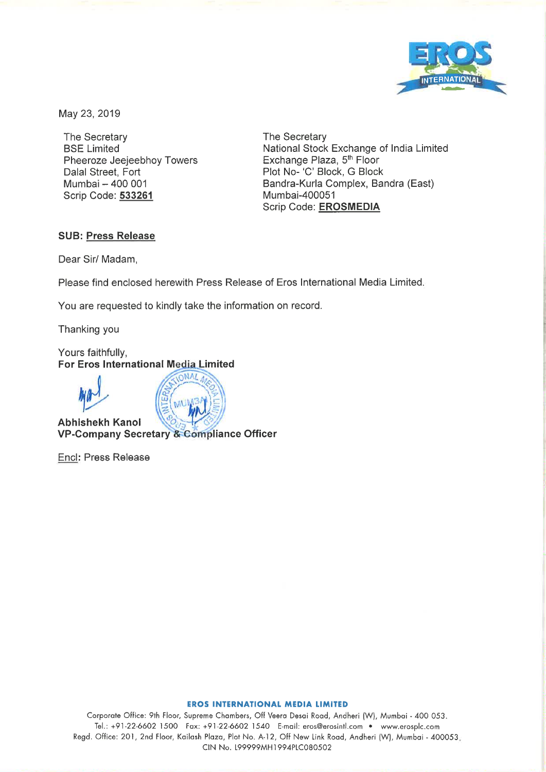

May 23, 2019

The Secretary **BSE Limited** Pheeroze Jeejeebhoy Towers Dalal Street, Fort Mumbai - 400 001 Scrip Code: 533261

The Secretary National Stock Exchange of India Limited Exchange Plaza, 5<sup>th</sup> Floor Plot No- 'C' Block, G Block Bandra-Kurla Complex, Bandra (East) Mumbai-400051 Scrip Code: EROSMEDIA

## **SUB: Press Release**

Dear Sir/ Madam,

Please find enclosed herewith Press Release of Eros International Media Limited.

You are requested to kindly take the information on record.

Thanking you

Yours faithfully, For Eros International Media Limited



**Abhishekh Kanol** VP-Company Secretary & Compliance Officer

Encl: Press Release

## **EROS INTERNATIONAL MEDIA LIMITED**

Corporate Office: 9th Floor, Supreme Chambers, Off Veera Desai Road, Andheri (W), Mumbai - 400 053. Tel.: +91-22-6602 1500 Fax: +91-22-6602 1540 E-mail: eros@erosintl.com • www.erosplc.com Regd. Office: 201, 2nd Floor, Kailash Plaza, Plot No. A-12, Off New Link Road, Andheri (W), Mumbai - 400053. CIN No. 199999MH1994PLC080502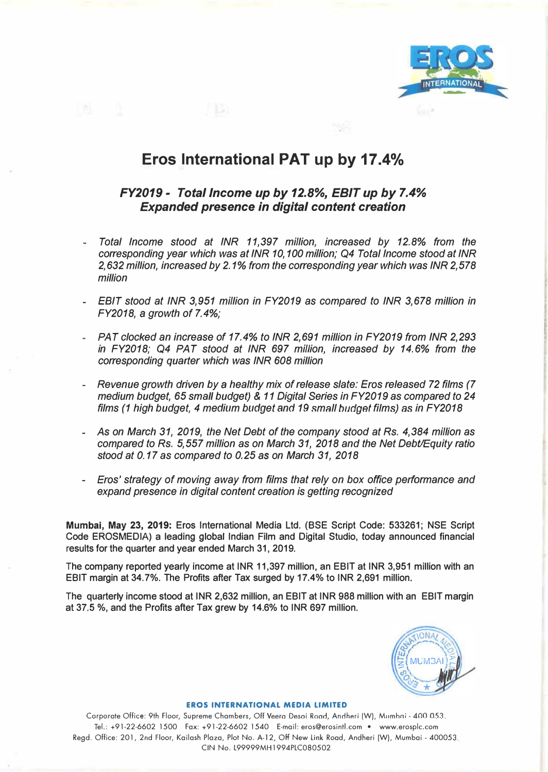

# **Eros International PAT up by 17.4%**

## *FY2019- Total Income up by 12.8%, EBIT up by 7.4% Expanded presence in digital content creation*

- *- Total Income stood at INR 11,397 million, increased by 12.8% from the corresponding year which was at INR 10,100 million; Q4 Total Income stood at INR 2,632 million, increased by 2.1% from the corresponding year which was INR 2,578 million*
- *- EBIT stood at INR 3,951 million in FY2019 as compared to INR 3,678 million in FY2018,* a *growth of 7.4%;*
- *- PAT clocked an increase of 17.4% to INR 2,691 million in FY2019 from INR 2,293 in FY2018; Q4 PAT stood at INR 697 million, increased by 14.6% from the corresponding quarter which was INR 608 million*
- *- Revenue growth driven by* a *healthy mix of release slate: Eros released 72 films (7 medium budget, 65 small budget)* & *11 Digital Series in FY2019 as compared to 24 films (1 high budget, 4 medium budget and 19 small hudget films) as in FY2018*
- *- As on March 31, 2019, the Net Debt of the company stood at Rs. 4,384 million as compared to Rs. 5,557 million as on March 31, 2018 and the Net Debt/Equity ratio stood at 0.17 as compared to 0.25* as *on March 31, 2018*
- *- Eros' strategy of moving away from films that rely on box office performance and expand presence in digital content creation is getting recognized*

**Mumbai, May 23, 2019: Eros International Media Ltd. (BSE Script Code: 533261; NSE Script Code EROSMEDIA) a leading global Indian Film and Digital Studio, today announced financial results for the quarter and year ended March 31, 2019.** 

**The company reported yearly income at INR 11,397 million, an EBIT at INR 3,951 million with an EBIT margin at 34.7%. The Profits after Tax surged by 17.4% to INR 2,691 million.** 

**The quarterly income stood at INR 2,632 million, an EBIT at INR 988 million with an EBIT margin at 37.5 %, and the Profits after Tax grew by 14.6% to INR 697 million.** 



## **EROS INTERNATIONAL MEDIA LIMITED**

Corporate Office: 9th Floor, Supreme Chambers, Off Veera Desai Road, Andheri (W), Mumbai - 400 0.53. Tel.: +91-22-6602 1500 Fax: +91-22-6602 1540 E-mail: eros@erosintl.com • www.erosplc.com Regd. Office: 201, 2nd Floor, Kailash Plaza, Plot No. A-12, Off New Link Road, Andheri (W), Mumbai - 400053. CIN No. L99999MH1994PLC080502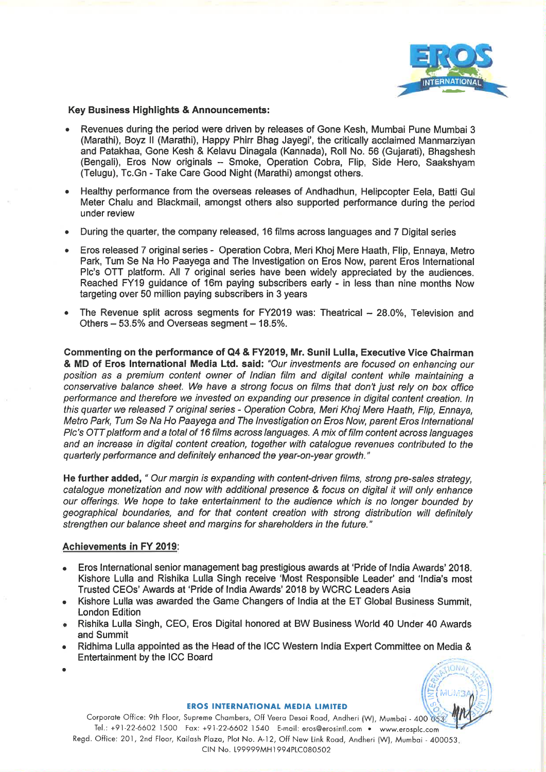

## **Key Business Highlights & Announcements:**

- Revenues during the period were driven by releases of Gone Kesh, Mumbai Pune Mumbai 3 (Marathi), Boyz II (Marathi), Happy Phirr Bhag Jayegi', the critically acclaimed Manmarzivan and Patakhaa, Gone Kesh & Kelavu Dinagala (Kannada), Roll No. 56 (Gujarati), Bhagshesh (Bengali), Eros Now originals - Smoke, Operation Cobra, Flip, Side Hero, Saakshyam (Telugu), Tc.Gn - Take Care Good Night (Marathi) amongst others.
- Healthy performance from the overseas releases of Andhadhun, Helipcopter Eela, Batti Gul Meter Chalu and Blackmail, amongst others also supported performance during the period under review
- During the quarter, the company released, 16 films across languages and 7 Digital series
- Eros released 7 original series Operation Cobra, Meri Khoj Mere Haath, Flip, Ennaya, Metro Park, Tum Se Na Ho Paayega and The Investigation on Eros Now, parent Eros International Plc's OTT platform. All 7 original series have been widely appreciated by the audiences. Reached FY19 guidance of 16m paying subscribers early - in less than nine months Now targeting over 50 million paying subscribers in 3 years
- The Revenue split across segments for FY2019 was: Theatrical 28.0%. Television and Others - 53.5% and Overseas segment - 18.5%.

Commenting on the performance of Q4 & FY2019, Mr. Sunil Lulla, Executive Vice Chairman & MD of Eros International Media Ltd. said: "Our investments are focused on enhancing our position as a premium content owner of Indian film and digital content while maintaining a conservative balance sheet. We have a strong focus on films that don't just rely on box office performance and therefore we invested on expanding our presence in digital content creation. In this quarter we released 7 original series - Operation Cobra, Meri Khoj Mere Haath, Flip, Ennaya, Metro Park, Tum Se Na Ho Paayega and The Investigation on Eros Now, parent Eros International PIc's OTT platform and a total of 16 films across languages. A mix of film content across languages and an increase in digital content creation, together with catalogue revenues contributed to the quarterly performance and definitely enhanced the year-on-year growth."

He further added, " Our margin is expanding with content-driven films, strong pre-sales strategy. catalogue monetization and now with additional presence & focus on digital it will only enhance our offerings. We hope to take entertainment to the audience which is no longer bounded by geographical boundaries, and for that content creation with strong distribution will definitely strengthen our balance sheet and margins for shareholders in the future."

## Achievements in FY 2019:

- Eros International senior management bag prestigious awards at 'Pride of India Awards' 2018. Kishore Lulla and Rishika Lulla Singh receive 'Most Responsible Leader' and 'India's most Trusted CEOs' Awards at 'Pride of India Awards' 2018 by WCRC Leaders Asia
- Kishore Lulla was awarded the Game Changers of India at the ET Global Business Summit.  $\bullet$ **London Edition**
- Rishika Lulla Singh, CEO, Eros Digital honored at BW Business World 40 Under 40 Awards and Summit
- Ridhima Lulla appointed as the Head of the ICC Western India Expert Committee on Media &  $\bullet$ **Entertainment by the ICC Board**
- 



#### **EROS INTERNATIONAL MEDIA LIMITED**

Corporate Office: 9th Floor, Supreme Chambers, Off Veera Desai Road, Andheri (W), Mumbai - 400 053. Tel.: +91-22-6602 1500 Fax: +91-22-6602 1540 E-mail: eros@erosintl.com • www.erosplc.com Regd. Office: 201, 2nd Floor, Kailash Plaza, Plot No. A-12, Off New Link Road, Andheri (W), Mumbai - 400053. CIN No. 199999MH1994PLC080502